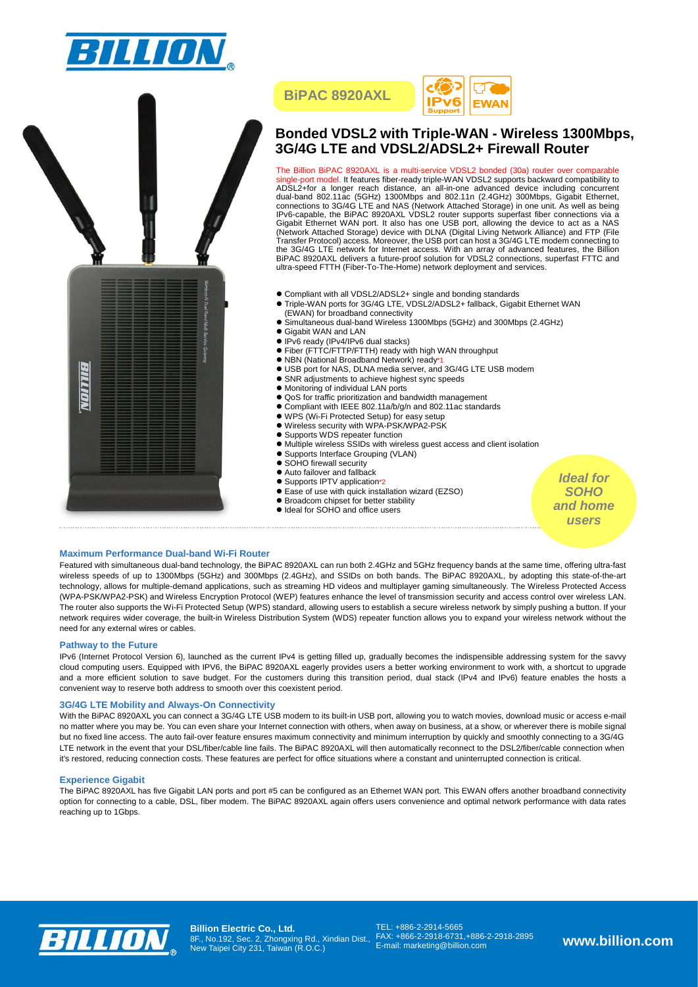







# **Bonded VDSL2 with Triple-WAN - Wireless 1300Mbps, 3G/4G LTE and VDSL2/ADSL2+ Firewall Router**

The Billion BiPAC 8920AXL is a multi-service VDSL2 bonded (30a) router over comparable<br>single-port model. It features fiber-ready triple-WAN VDSL2 supports backward compatibility to<br>ADSL2+for a longer reach distance, an al dual-band 802.11ac (5GHz) 1300Mbps and 802.11n (2.4GHz) 300Mbps, Gigabit Ethernet, connections to 3G/4G LTE and NAS (Network Attached Storage) in one unit. As well as being IPv6-capable, the BiPAC 8920AXL VDSL2 router supports superfast fiber connections via a Gigabit Ethernet WAN port. It also has one USB port, allowing the device to act as a NAS<br>(Network Attached Storage) device with DLNA (Digital Living Network Alliance) and FTP (File<br>Transfer Protocol) access. Moreover, the BiPAC 8920AXL delivers a future-proof solution for VDSL2 connections, superfast FTTC and ultra-speed FTTH (Fiber-To-The-Home) network deployment and services.

- Compliant with all VDSL2/ADSL2+ single and bonding standards
- Compilant With Sir VBCEIN BOLL Fortigic Since Scheming Currented Compilation Compilation of Triple-WAN ports for 3G/4G LTE, VDSL2/ADSL2+ fallback, Gigabit Ethernet WAN
- (EWAN) for broadband connectivity Simultaneous dual-band Wireless 1300Mbps (5GHz) and 300Mbps (2.4GHz)
- Gigabit WAN and LAN
- 
- IPv6 ready (IPv4/IPv6 dual stacks)<br>● Fiber (FTTC/FTTP/FTTH) ready with high WAN throughput
- NBN (National Broadband Network) ready\*1
- USB port for NAS, DLNA media server, and 3G/4G LTE USB modem SNR adjustments to achieve highest sync speeds
- 
- $\bullet$  Monitoring of individual LAN ports
- QoS for traffic prioritization and bandwidth management
- Compliant with IEEE 802.11a/b/g/n and 802.11ac standards
- WPS (Wi-Fi Protected Setup) for easy setup
- Wireless security with WPA-PSK/WPA2-PSK
- Supports WDS repeater function
- Multiple wireless SSIDs with wireless guest access and client isolation
- Supports Interface Grouping (VLAN)
- SOHO firewall security
- Auto failover and fallback
- Supports IPTV application\*2
- Ease of use with quick installation wizard (EZSO)
- **Broadcom chipset for better stability**
- $\bullet$  Ideal for SOHO and office users

*Ideal for SOHO and home users*

## **Maximum Performance Dual-band Wi-Fi Router**

Featured with simultaneous dual-band technology, the BiPAC 8920AXL can run both 2.4GHz and 5GHz frequency bands at the same time, offering ultra-fast wireless speeds of up to 1300Mbps (5GHz) and 300Mbps (2.4GHz), and SSIDs on both bands. The BiPAC 8920AXL, by adopting this state-of-the-art technology, allows for multiple-demand applications, such as streaming HD videos and multiplayer gaming simultaneously. The Wireless Protected Access (WPA-PSK/WPA2-PSK) and Wireless Encryption Protocol (WEP) features enhance the level of transmission security and access control over wireless LAN. The router also supports the Wi-Fi Protected Setup (WPS) standard, allowing users to establish a secure wireless network by simply pushing a button. If your network requires wider coverage, the built-in Wireless Distribution System (WDS) repeater function allows you to expand your wireless network without the need for any external wires or cables.

# **Pathway to the Future**

IPv6 (Internet Protocol Version 6), launched as the current IPv4 is getting filled up, gradually becomes the indispensible addressing system for the savvy cloud computing users. Equipped with IPV6, the BiPAC 8920AXL eagerly provides users a better working environment to work with, a shortcut to upgrade and a more efficient solution to save budget. For the customers during this transition period, dual stack (IPv4 and IPv6) feature enables the hosts a convenient way to reserve both address to smooth over this coexistent period.

## **3G/4G LTE Mobility and Always-On Connectivity**

With the BiPAC 8920AXL you can connect a 3G/4G LTE USB modem to its built-in USB port, allowing you to watch movies, download music or access e-mail no matter where you may be. You can even share your Internet connection with others, when away on business, at a show, or wherever there is mobile signal but no fixed line access. The auto fail-over feature ensures maximum connectivity and minimum interruption by quickly and smoothly connecting to a 3G/4G LTE network in the event that your DSL/fiber/cable line fails. The BiPAC 8920AXL will then automatically reconnect to the DSL2/fiber/cable connection when it's restored, reducing connection costs. These features are perfect for office situations where a constant and uninterrupted connection is critical.

# **Experience Gigabit**

The BiPAC 8920AXL has five Gigabit LAN ports and port #5 can be configured as an Ethernet WAN port. This EWAN offers another broadband connectivity option for connecting to a cable, DSL, fiber modem. The BiPAC 8920AXL again offers users convenience and optimal network performance with data rates reaching up to 1Gbps.



**Billion Electric Co., Ltd.** 8F., No.192, Sec. 2, Zhongxing Rd., Xindian Dist., New Taipei City 231, Taiwan (R.O.C.)

TEL: +886-2-2914-5665 FAX: +866-2-2918-6731,+886-2-2918-2895 E-mail: marketing@billion.com **www.billion.com**